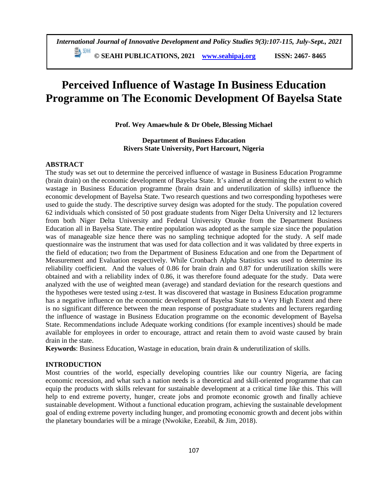# **Perceived Influence of Wastage In Business Education Programme on The Economic Development Of Bayelsa State**

**Prof. Wey Amaewhule & Dr Obele, Blessing Michael**

## **Department of Business Education Rivers State University, Port Harcourt, Nigeria**

## **ABSTRACT**

The study was set out to determine the perceived influence of wastage in Business Education Programme (brain drain) on the economic development of Bayelsa State. It's aimed at determining the extent to which wastage in Business Education programme (brain drain and underutilization of skills) influence the economic development of Bayelsa State. Two research questions and two corresponding hypotheses were used to guide the study. The descriptive survey design was adopted for the study. The population covered 62 individuals which consisted of 50 post graduate students from Niger Delta University and 12 lecturers from both Niger Delta University and Federal University Otuoke from the Department Business Education all in Bayelsa State. The entire population was adopted as the sample size since the population was of manageable size hence there was no sampling technique adopted for the study. A self made questionnaire was the instrument that was used for data collection and it was validated by three experts in the field of education; two from the Department of Business Education and one from the Department of Measurement and Evaluation respectively. While Cronbach Alpha Statistics was used to determine its reliability coefficient. And the values of 0.86 for brain drain and 0.87 for underutilization skills were obtained and with a reliability index of 0.86, it was therefore found adequate for the study. Data were analyzed with the use of weighted mean (average) and standard deviation for the research questions and the hypotheses were tested using z-test. It was discovered that wastage in Business Education programme has a negative influence on the economic development of Bayelsa State to a Very High Extent and there is no significant difference between the mean response of postgraduate students and lecturers regarding the influence of wastage in Business Education programme on the economic development of Bayelsa State. Recommendations include Adequate working conditions (for example incentives) should be made available for employees in order to encourage, attract and retain them to avoid waste caused by brain drain in the state.

**Keywords**: Business Education, Wastage in education, brain drain & underutilization of skills.

## **INTRODUCTION**

Most countries of the world, especially developing countries like our country Nigeria, are facing economic recession, and what such a nation needs is a theoretical and skill-oriented programme that can equip the products with skills relevant for sustainable development at a critical time like this. This will help to end extreme poverty, hunger, create jobs and promote economic growth and finally achieve sustainable development. Without a functional education program, achieving the sustainable development goal of ending extreme poverty including hunger, and promoting economic growth and decent jobs within the planetary boundaries will be a mirage (Nwokike, Ezeabil, & Jim, 2018).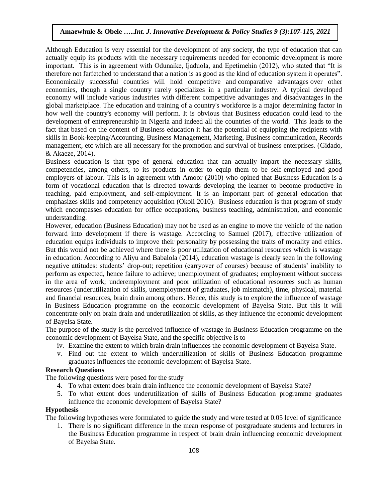Although Education is very essential for the development of any society, the type of education that can actually equip its products with the necessary requirements needed for economic development is more important. This is in agreement with Odunaike, Ijaduola, and Epetimehin (2012), who stated that "It is therefore not farfetched to understand that a nation is as good as the kind of education system it operates". Economically successful countries will hold competitive and [comparative advantages](https://www.investopedia.com/terms/c/comparativeadvantage.asp) over other economies, though a single country rarely specializes in a particular industry. A typical developed economy will include various industries with different competitive advantages and disadvantages in the global marketplace. The education and training of a country's workforce is a major determining factor in how well the country's economy will perform. It is obvious that Business education could lead to the development of entrepreneurship in Nigeria and indeed all the countries of the world. This leads to the fact that based on the content of Business education it has the potential of equipping the recipients with skills in Book-keeping/Accounting, Business Management, Marketing, Business communication, Records management, etc which are all necessary for the promotion and survival of business enterprises. (Gidado, & Akaeze, 2014).

Business education is that type of general education that can actually impart the necessary skills, competencies, among others, to its products in order to equip them to be self-employed and good employers of labour. This is in agreement with Amoor (2010) who opined that Business Education is a form of vocational education that is directed towards developing the learner to become productive in teaching, paid employment, and self-employment. It is an important part of general education that emphasizes skills and competency acquisition (Okoli 2010). Business education is that program of study which encompasses education for office occupations, business teaching, administration, and economic understanding.

However, education (Business Education) may not be used as an engine to move the vehicle of the nation forward into development if there is wastage. According to Samuel (2017), effective utilization of education equips individuals to improve their personality by possessing the traits of morality and ethics. But this would not be achieved where there is poor utilization of educational resources which is wastage in education. According to Aliyu and Babalola (2014), education wastage is clearly seen in the following negative attitudes: students' drop-out; repetition (carryover of courses) because of students' inability to perform as expected, hence failure to achieve; unemployment of graduates; employment without success in the area of work; underemployment and poor utilization of educational resources such as human resources (underutilization of skills, unemployment of graduates, job mismatch), time, physical, material and financial resources, brain drain among others. Hence, this study is to explore the influence of wastage in Business Education programme on the economic development of Bayelsa State. But this it will concentrate only on brain drain and underutilization of skills, as they influence the economic development of Bayelsa State.

The purpose of the study is the perceived influence of wastage in Business Education programme on the economic development of Bayelsa State, and the specific objective is to

- iv. Examine the extent to which brain drain influences the economic development of Bayelsa State.
- v. Find out the extent to which underutilization of skills of Business Education programme graduates influences the economic development of Bayelsa State.

## **Research Questions**

The following questions were posed for the study

- 4. To what extent does brain drain influence the economic development of Bayelsa State?
- 5. To what extent does underutilization of skills of Business Education programme graduates influence the economic development of Bayelsa State?

## **Hypothesis**

The following hypotheses were formulated to guide the study and were tested at 0.05 level of significance

1. There is no significant difference in the mean response of postgraduate students and lecturers in the Business Education programme in respect of brain drain influencing economic development of Bayelsa State.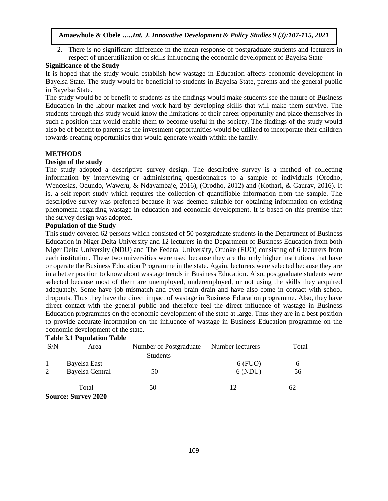2. There is no significant difference in the mean response of postgraduate students and lecturers in respect of underutilization of skills influencing the economic development of Bayelsa State

## **Significance of the Study**

It is hoped that the study would establish how wastage in Education affects economic development in Bayelsa State. The study would be beneficial to students in Bayelsa State, parents and the general public in Bayelsa State.

The study would be of benefit to students as the findings would make students see the nature of Business Education in the labour market and work hard by developing skills that will make them survive. The students through this study would know the limitations of their career opportunity and place themselves in such a position that would enable them to become useful in the society. The findings of the study would also be of benefit to parents as the investment opportunities would be utilized to incorporate their children towards creating opportunities that would generate wealth within the family.

## **METHODS**

#### **Design of the study**

The study adopted a descriptive survey design. The descriptive survey is a method of collecting information by interviewing or administering questionnaires to a sample of individuals (Orodho, Wenceslas, Odundo, Waweru, & Ndayambaje, 2016), (Orodho, 2012) and (Kothari, & Gaurav, 2016). It is, a self-report study which requires the collection of quantifiable information from the sample. The descriptive survey was preferred because it was deemed suitable for obtaining information on existing phenomena regarding wastage in education and economic development. It is based on this premise that the survey design was adopted.

## **Population of the Study**

This study covered 62 persons which consisted of 50 postgraduate students in the Department of Business Education in Niger Delta University and 12 lecturers in the Department of Business Education from both Niger Delta University (NDU) and The Federal University, Otuoke (FUO) consisting of 6 lecturers from each institution. These two universities were used because they are the only higher institutions that have or operate the Business Education Programme in the state. Again, lecturers were selected because they are in a better position to know about wastage trends in Business Education. Also, postgraduate students were selected because most of them are unemployed, underemployed, or not using the skills they acquired adequately. Some have job mismatch and even brain drain and have also come in contact with school dropouts. Thus they have the direct impact of wastage in Business Education programme. Also, they have direct contact with the general public and therefore feel the direct influence of wastage in Business Education programmes on the economic development of the state at large. Thus they are in a best position to provide accurate information on the influence of wastage in Business Education programme on the economic development of the state.

## **Table 3.1 Population Table**

| S/N | Area                   | Number of Postgraduate | Number lecturers | Total |  |
|-----|------------------------|------------------------|------------------|-------|--|
|     |                        | <b>Students</b>        |                  |       |  |
|     | Bayelsa East           |                        | $6$ (FUO)        |       |  |
| 2   | <b>Bayelsa Central</b> | 50                     | 6(NDU)           | 56    |  |
|     |                        |                        |                  |       |  |
|     | Total                  | 50                     |                  | 62    |  |

**Source: Survey 2020**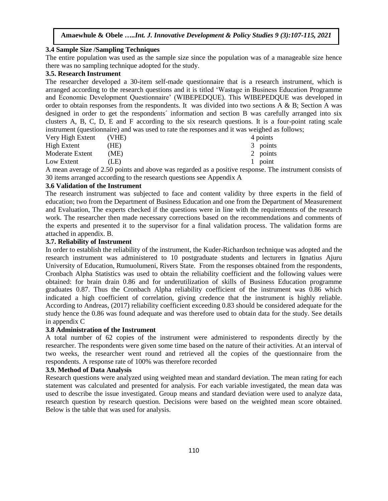#### **3.4 Sample Size /Sampling Techniques**

The entire population was used as the sample size since the population was of a manageable size hence there was no sampling technique adopted for the study.

# **3.5. Research Instrument**

The researcher developed a 30-item self-made questionnaire that is a research instrument, which is arranged according to the research questions and it is titled 'Wastage in Business Education Programme and Economic Development Questionnaire' (WIBEPEDQUE). This WIBEPEDQUE was developed in order to obtain responses from the respondents. It was divided into two sections A & B; Section A was designed in order to get the respondents´ information and section B was carefully arranged into six clusters A, B, C, D, E and F according to the six research questions. It is a four-point rating scale instrument (questionnaire) and was used to rate the responses and it was weighed as follows;

| Very High Extent | (VHE) | 4 points |
|------------------|-------|----------|
| High Extent      | (HE)  | 3 points |
| Moderate Extent  | (ME)  | 2 points |
| Low Extent       | (LE)  | 1 point  |

A mean average of 2.50 points and above was regarded as a positive response. The instrument consists of 30 items arranged according to the research questions see Appendix A

#### **3.6 Validation of the Instrument**

The research instrument was subjected to face and content validity by three experts in the field of education; two from the Department of Business Education and one from the Department of Measurement and Evaluation, The experts checked if the questions were in line with the requirements of the research work. The researcher then made necessary corrections based on the recommendations and comments of the experts and presented it to the supervisor for a final validation process. The validation forms are attached in appendix. B.

# **3.7. Reliability of Instrument**

In order to establish the reliability of the instrument, the Kuder-Richardson technique was adopted and the research instrument was administered to 10 postgraduate students and lecturers in Ignatius Ajuru University of Education, Rumuolumeni, Rivers State. From the responses obtained from the respondents, Cronbach Alpha Statistics was used to obtain the reliability coefficient and the following values were obtained: for brain drain 0.86 and for underutilization of skills of Business Education programme graduates 0.87. Thus the Cronbach Alpha reliability coefficient of the instrument was 0.86 which indicated a high coefficient of correlation, giving credence that the instrument is highly reliable. According to [Andreas,](https://www.researchgate.net/profile/Andreas_Wieland) (2017) reliability coefficient exceeding 0.83 should be considered adequate for the study hence the 0.86 was found adequate and was therefore used to obtain data for the study. See details in appendix C

#### **3.8 Administration of the Instrument**

A total number of 62 copies of the instrument were administered to respondents directly by the researcher. The respondents were given some time based on the nature of their activities. At an interval of two weeks, the researcher went round and retrieved all the copies of the questionnaire from the respondents. A response rate of 100% was therefore recorded

#### **3.9. Method of Data Analysis**

Research questions were analyzed using weighted mean and standard deviation. The mean rating for each statement was calculated and presented for analysis. For each variable investigated, the mean data was used to describe the issue investigated. Group means and standard deviation were used to analyze data, research question by research question. Decisions were based on the weighted mean score obtained. Below is the table that was used for analysis.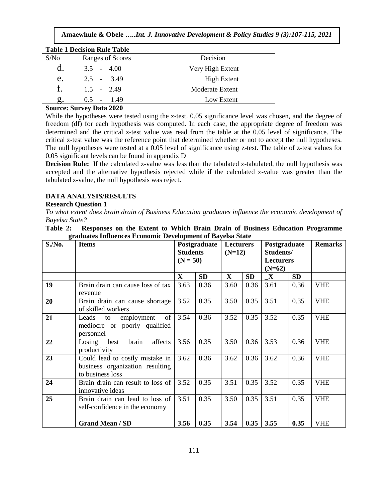| <b>Table 1 Decision Rule Table</b> |                  |                    |  |  |  |  |  |  |
|------------------------------------|------------------|--------------------|--|--|--|--|--|--|
| S/No                               | Ranges of Scores | Decision           |  |  |  |  |  |  |
| $\mathbf d$                        | $3.5 - 4.00$     | Very High Extent   |  |  |  |  |  |  |
| e.                                 | $2.5 - 3.49$     | <b>High Extent</b> |  |  |  |  |  |  |
| $f_{\perp}$                        | $1.5 - 2.49$     | Moderate Extent    |  |  |  |  |  |  |
|                                    | 149<br>$0.5 -$   | Low Extent         |  |  |  |  |  |  |

#### **Source: Survey Data 2020**

While the hypotheses were tested using the z-test. 0.05 significance level was chosen, and the degree of freedom (df) for each hypothesis was computed. In each case, the appropriate degree of freedom was determined and the critical z-test value was read from the table at the 0.05 level of significance. The critical z-test value was the reference point that determined whether or not to accept the null hypotheses. The null hypotheses were tested at a 0.05 level of significance using z-test. The table of z-test values for 0.05 significant levels can be found in appendix D

**Decision Rule:** If the calculated z-value was less than the tabulated z-tabulated, the null hypothesis was accepted and the alternative hypothesis rejected while if the calculated z-value was greater than the tabulated z-value, the null hypothesis was reject**.**

# **DATA ANALYSIS/RESULTS**

#### **Research Question 1**

*To what extent does brain drain of Business Education graduates influence the economic development of Bayelsa State?*

## **Table 2: Responses on the Extent to Which Brain Drain of Business Education Programme graduates Influences Economic Development of Bayelsa State**

| $S/N0$ . | <b>Items</b>                                                                           | Postgraduate<br><b>Lecturers</b><br><b>Students</b><br>$(N=12)$ |                                     |             | Postgraduate<br>Students/ |             |           | <b>Remarks</b> |
|----------|----------------------------------------------------------------------------------------|-----------------------------------------------------------------|-------------------------------------|-------------|---------------------------|-------------|-----------|----------------|
|          |                                                                                        |                                                                 | $(N = 50)$<br>Lecturers<br>$(N=62)$ |             |                           |             |           |                |
|          |                                                                                        | $\mathbf X$                                                     | <b>SD</b>                           | $\mathbf X$ | <b>SD</b>                 | $\mathbf X$ | <b>SD</b> |                |
| 19       | Brain drain can cause loss of tax<br>revenue                                           | 3.63                                                            | 0.36                                | 3.60        | 0.36                      | 3.61        | 0.36      | <b>VHE</b>     |
| 20       | Brain drain can cause shortage<br>of skilled workers                                   | 3.52                                                            | 0.35                                | 3.50        | 0.35                      | 3.51        | 0.35      | <b>VHE</b>     |
| 21       | of<br>employment<br>Leads<br>to<br>mediocre or poorly qualified<br>personnel           | 3.54                                                            | 0.36                                | 3.52        | 0.35                      | 3.52        | 0.35      | <b>VHE</b>     |
| 22       | brain<br>affects<br>Losing<br>best<br>productivity                                     | 3.56                                                            | 0.35                                | 3.50        | 0.36                      | 3.53        | 0.36      | <b>VHE</b>     |
| 23       | Could lead to costly mistake in<br>business organization resulting<br>to business loss | 3.62                                                            | 0.36                                | 3.62        | 0.36                      | 3.62        | 0.36      | <b>VHE</b>     |
| 24       | Brain drain can result to loss of<br>innovative ideas                                  | 3.52                                                            | 0.35                                | 3.51        | 0.35                      | 3.52        | 0.35      | <b>VHE</b>     |
| 25       | Brain drain can lead to loss of<br>self-confidence in the economy                      |                                                                 | 0.35                                | 3.50        | 0.35                      | 3.51        | 0.35      | <b>VHE</b>     |
|          | <b>Grand Mean / SD</b>                                                                 | 3.56                                                            | 0.35                                | 3.54        | 0.35                      | 3.55        | 0.35      | <b>VHE</b>     |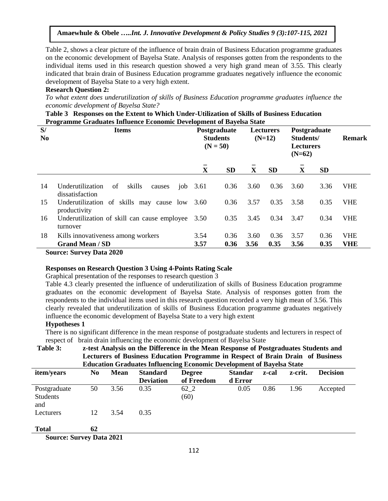**Amaewhule & Obele …***..Int. J. Innovative Development & Policy Studies 9 (3):107-115, 2021*

Table 2, shows a clear picture of the influence of brain drain of Business Education programme graduates on the economic development of Bayelsa State. Analysis of responses gotten from the respondents to the individual items used in this research question showed a very high grand mean of 3.55. This clearly indicated that brain drain of Business Education programme graduates negatively influence the economic development of Bayelsa State to a very high extent.

## **Research Question 2:**

*To what extent does underutilization of skills of Business Education programme graduates influence the economic development of Bayelsa State?*

| Table 3 Responses on the Extent to Which Under-Utilization of Skills of Business Education |  |  |  |
|--------------------------------------------------------------------------------------------|--|--|--|
| <b>Programme Graduates Influence Economic Development of Bayelsa State</b>                 |  |  |  |

| S/<br>N <sub>0</sub> | <b>Items</b>                                                  |              | Postgraduate<br><b>Students</b><br>$(N = 50)$ |              | <b>Lecturers</b><br>$(N=12)$ |              | Postgraduate<br>Students/<br><b>Lecturers</b><br>$(N=62)$ |                          |
|----------------------|---------------------------------------------------------------|--------------|-----------------------------------------------|--------------|------------------------------|--------------|-----------------------------------------------------------|--------------------------|
|                      |                                                               | $\mathbf X$  | <b>SD</b>                                     | X            | <b>SD</b>                    | X            | <b>SD</b>                                                 |                          |
| 14                   | of<br>skills<br>Underutilization<br>causes<br>dissatisfaction | job $3.61$   | 0.36                                          | 3.60         | 0.36                         | 3.60         | 3.36                                                      | <b>VHE</b>               |
| 15                   | Underutilization of skills may cause low<br>productivity      | 3.60         | 0.36                                          | 3.57         | 0.35                         | 3.58         | 0.35                                                      | <b>VHE</b>               |
| 16                   | Underutilization of skill can cause employee<br>turnover      | 3.50         | 0.35                                          | 3.45         | 0.34                         | 3.47         | 0.34                                                      | <b>VHE</b>               |
| 18                   | Kills innovativeness among workers<br><b>Grand Mean / SD</b>  | 3.54<br>3.57 | 0.36<br>0.36                                  | 3.60<br>3.56 | 0.36<br>0.35                 | 3.57<br>3.56 | 0.36<br>0.35                                              | <b>VHE</b><br><b>VHE</b> |
|                      | $S_{22}$ $S_{32}$ $S_{42}$ $D_{44}$ $2030$                    |              |                                               |              |                              |              |                                                           |                          |

#### **Source: Survey Data 2020**

#### **Responses on Research Question 3 Using 4-Points Rating Scale**

Graphical presentation of the responses to research question 3

Table 4.3 clearly presented the influence of underutilization of skills of Business Education programme graduates on the economic development of Bayelsa State. Analysis of responses gotten from the respondents to the individual items used in this research question recorded a very high mean of 3.56. This clearly revealed that underutilization of skills of Business Education programme graduates negatively influence the economic development of Bayelsa State to a very high extent

#### **Hypotheses 1**

There is no significant difference in the mean response of postgraduate students and lecturers in respect of respect of brain drain influencing the economic development of Bayelsa State

**Table 3: z-test Analysis on the Difference in the Mean Response of Postgraduates Students and Lecturers of Business Education Programme in Respect of Brain Drain of Business Education Graduates Influencing Economic Development of Bayelsa State**

|                                 |    |             |                  | ີ                 |                |       |         |                 |  |
|---------------------------------|----|-------------|------------------|-------------------|----------------|-------|---------|-----------------|--|
| item/years                      | No | <b>Mean</b> | <b>Standard</b>  | <b>Degree</b>     | <b>Standar</b> | z-cal | z-crit. | <b>Decision</b> |  |
|                                 |    |             | <b>Deviation</b> | of Freedom        | d Error        |       |         |                 |  |
| Postgraduate<br>Students<br>and | 50 | 3.56        | 0.35             | $62_{-2}$<br>(60) | 0.05           | 0.86  | 1.96    | Accepted        |  |
| Lecturers                       | 12 | 3.54        | 0.35             |                   |                |       |         |                 |  |
| <b>Total</b>                    | 62 |             |                  |                   |                |       |         |                 |  |

**Source: Survey Data 2021**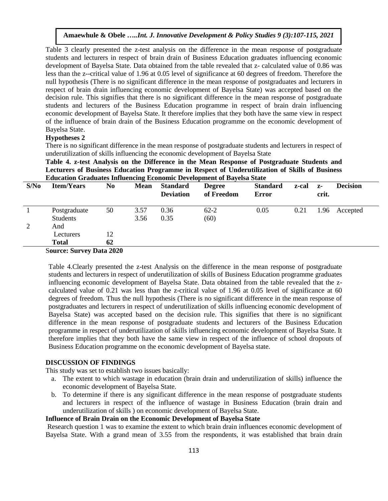Table 3 clearly presented the z-test analysis on the difference in the mean response of postgraduate students and lecturers in respect of brain drain of Business Education graduates influencing economic development of Bayelsa State. Data obtained from the table revealed that z- calculated value of 0.86 was less than the z--critical value of 1.96 at 0.05 level of significance at 60 degrees of freedom. Therefore the null hypothesis (There is no significant difference in the mean response of postgraduates and lecturers in respect of brain drain influencing economic development of Bayelsa State) was accepted based on the decision rule. This signifies that there is no significant difference in the mean response of postgraduate students and lecturers of the Business Education programme in respect of brain drain influencing economic development of Bayelsa State. It therefore implies that they both have the same view in respect of the influence of brain drain of the Business Education programme on the economic development of Bayelsa State.

# **Hypotheses 2**

There is no significant difference in the mean response of postgraduate students and lecturers in respect of underutilization of skills influencing the economic development of Bayelsa State

**Table 4. z-test Analysis on the Difference in the Mean Response of Postgraduate Students and Lecturers of Business Education Programme in Respect of Underutilization of Skills of Business Education Graduates Influencing Economic Development of Bayelsa State**

| S/No | <b>Item/Years</b>             | No                         | <b>Mean</b> | <b>Standard</b><br><b>Deviation</b> | <b>Degree</b><br>of Freedom | <b>Standard</b><br><b>Error</b> | z-cal | $Z-$<br>crit. | <b>Decision</b> |
|------|-------------------------------|----------------------------|-------------|-------------------------------------|-----------------------------|---------------------------------|-------|---------------|-----------------|
|      | Postgraduate                  | 50                         | 3.57        | 0.36                                | $62 - 2$                    | 0.05                            | 0.21  | .96           | Accepted        |
|      | Students                      |                            | 3.56        | 0.35                                | (60)                        |                                 |       |               |                 |
| 2    | And                           |                            |             |                                     |                             |                                 |       |               |                 |
|      | Lecturers                     | 12                         |             |                                     |                             |                                 |       |               |                 |
|      | <b>Total</b><br>$\sim$ $\sim$ | 62<br>$\sim$ $\sim$ $\sim$ |             |                                     |                             |                                 |       |               |                 |

S**ource: Survey Data 2020**

Table 4.Clearly presented the z-test Analysis on the difference in the mean response of postgraduate students and lecturers in respect of underutilization of skills of Business Education programme graduates influencing economic development of Bayelsa State. Data obtained from the table revealed that the zcalculated value of 0.21 was less than the z-critical value of 1.96 at 0.05 level of significance at 60 degrees of freedom. Thus the null hypothesis (There is no significant difference in the mean response of postgraduates and lecturers in respect of underutilization of skills influencing economic development of Bayelsa State) was accepted based on the decision rule. This signifies that there is no significant difference in the mean response of postgraduate students and lecturers of the Business Education programme in respect of underutilization of skills influencing economic development of Bayelsa State. It therefore implies that they both have the same view in respect of the influence of school dropouts of Business Education programme on the economic development of Bayelsa state.

#### **DISCUSSION OF FINDINGS**

This study was set to establish two issues basically:

- a. The extent to which wastage in education (brain drain and underutilization of skills) influence the economic development of Bayelsa State.
- b. To determine if there is any significant difference in the mean response of postgraduate students and lecturers in respect of the influence of wastage in Business Education (brain drain and underutilization of skills ) on economic development of Bayelsa State.

## **Influence of Brain Drain on the Economic Development of Bayelsa State**

Research question 1 was to examine the extent to which brain drain influences economic development of Bayelsa State. With a grand mean of 3.55 from the respondents, it was established that brain drain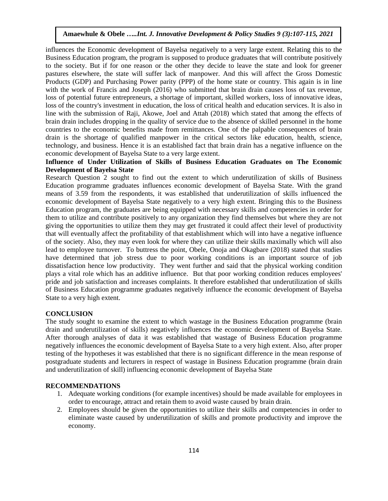influences the Economic development of Bayelsa negatively to a very large extent. Relating this to the Business Education program, the program is supposed to produce graduates that will contribute positively to the society. But if for one reason or the other they decide to leave the state and look for greener pastures elsewhere, the state will suffer lack of manpower. And this will affect the Gross Domestic Products (GDP) and Purchasing Power parity (PPP) of the home state or country. This again is in line with the work of Francis and Joseph (2016) who submitted that brain drain causes loss of tax revenue, loss of potential future entrepreneurs, a shortage of important, skilled workers, loss of innovative ideas, loss of the country's investment in education, the loss of critical health and education services. It is also in line with the submission of Raji, Akowe, Joel and Attah (2018) which stated that among the effects of brain drain includes dropping in the quality of service due to the absence of skilled personnel in the home countries to the economic benefits made from remittances. One of the palpable consequences of brain drain is the shortage of qualified manpower in the critical sectors like education, health, science, technology, and business. Hence it is an established fact that brain drain has a negative influence on the economic development of Bayelsa State to a very large extent.

## **Influence of Under Utilization of Skills of Business Education Graduates on The Economic Development of Bayelsa State**

Research Question 2 sought to find out the extent to which underutilization of skills of Business Education programme graduates influences economic development of Bayelsa State. With the grand means of 3.59 from the respondents, it was established that underutilization of skills influenced the economic development of Bayelsa State negatively to a very high extent. Bringing this to the Business Education program, the graduates are being equipped with necessary skills and competencies in order for them to utilize and contribute positively to any organization they find themselves but where they are not giving the opportunities to utilize them they may get frustrated it could affect their level of productivity that will eventually affect the profitability of that establishment which will into have a negative influence of the society. Also, they may even look for where they can utilize their skills maximally which will also lead to employee turnover. To buttress the point, Obele, Onoja and Okagbare (2018) stated that studies have determined that job stress due to poor working conditions is an important source of job dissatisfaction hence low productivity. They went further and said that the physical working condition plays a vital role which has an additive influence. But that poor working condition reduces employees' pride and job satisfaction and increases complaints. It therefore established that underutilization of skills of Business Education programme graduates negatively influence the economic development of Bayelsa State to a very high extent.

#### **CONCLUSION**

The study sought to examine the extent to which wastage in the Business Education programme (brain drain and underutilization of skills) negatively influences the economic development of Bayelsa State. After thorough analyses of data it was established that wastage of Business Education programme negatively influences the economic development of Bayelsa State to a very high extent. Also, after proper testing of the hypotheses it was established that there is no significant difference in the mean response of postgraduate students and lecturers in respect of wastage in Business Education programme (brain drain and underutilization of skill) influencing economic development of Bayelsa State

#### **RECOMMENDATIONS**

- 1. Adequate working conditions (for example incentives) should be made available for employees in order to encourage, attract and retain them to avoid waste caused by brain drain.
- 2. Employees should be given the opportunities to utilize their skills and competencies in order to eliminate waste caused by underutilization of skills and promote productivity and improve the economy.